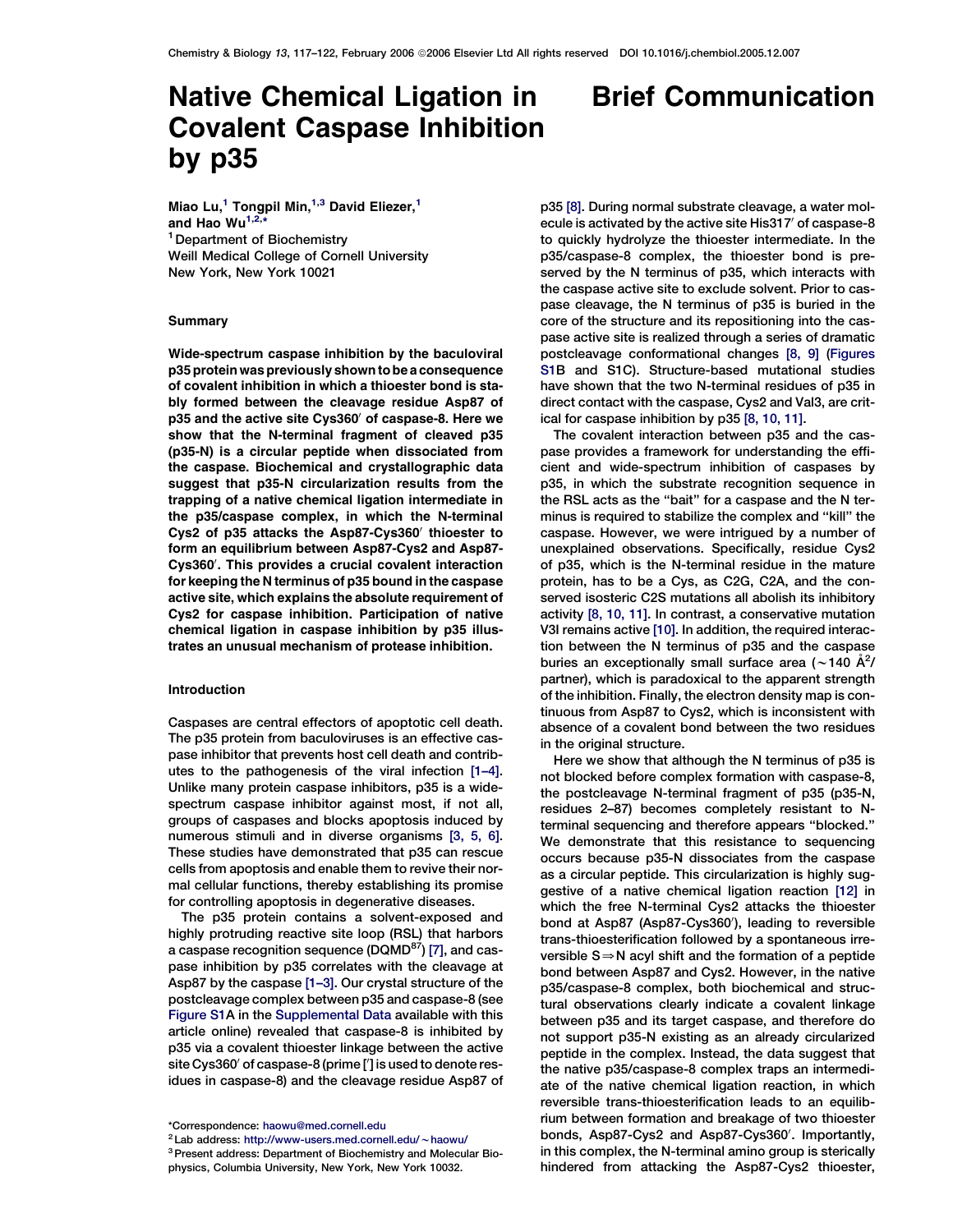# Native Chemical Ligation in Brief Communication Covalent Caspase Inhibition by p35

Miao Lu,<sup>1</sup> Tongpil Min,<sup>1,3</sup> David Eliezer,<sup>1</sup> and Hao  $Wu^{1,2}$ , \* <sup>1</sup> Department of Biochemistry Weill Medical College of Cornell University New York, New York 10021

#### Summary

Wide-spectrum caspase inhibition by the baculoviral p35 protein was previously shown to be a consequence of covalent inhibition in which a thioester bond is stably formed between the cleavage residue Asp87 of p35 and the active site Cys360' of caspase-8. Here we show that the N-terminal fragment of cleaved p35 (p35-N) is a circular peptide when dissociated from the caspase. Biochemical and crystallographic data suggest that p35-N circularization results from the trapping of a native chemical ligation intermediate in the p35/caspase complex, in which the N-terminal Cys2 of  $p35$  attacks the Asp87-Cys360' thioester to form an equilibrium between Asp87-Cys2 and Asp87- Cys360'. This provides a crucial covalent interaction for keeping the N terminus of p35 bound in the caspase active site, which explains the absolute requirement of Cys2 for caspase inhibition. Participation of native chemical ligation in caspase inhibition by p35 illustrates an unusual mechanism of protease inhibition.

#### Introduction

Caspases are central effectors of apoptotic cell death. The p35 protein from baculoviruses is an effective caspase inhibitor that prevents host cell death and contributes to the pathogenesis of the viral infection [\[1–4\].](#page-4-0) Unlike many protein caspase inhibitors, p35 is a widespectrum caspase inhibitor against most, if not all, groups of caspases and blocks apoptosis induced by numerous stimuli and in diverse organisms [\[3, 5, 6\].](#page-4-0) These studies have demonstrated that p35 can rescue cells from apoptosis and enable them to revive their normal cellular functions, thereby establishing its promise for controlling apoptosis in degenerative diseases.

The p35 protein contains a solvent-exposed and highly protruding reactive site loop (RSL) that harbors a caspase recognition sequence (DQMD<sup>87</sup>) [\[7\]](#page-5-0), and caspase inhibition by p35 correlates with the cleavage at Asp87 by the caspase [\[1–3\].](#page-4-0) Our crystal structure of the postcleavage complex between p35 and caspase-8 (see Figure S1A in the Supplemental Data available with this article online) revealed that caspase-8 is inhibited by p35 via a covalent thioester linkage between the active site Cys360' of caspase-8 (prime ['] is used to denote residues in caspase-8) and the cleavage residue Asp87 of

p35 [\[8\].](#page-5-0) During normal substrate cleavage, a water molecule is activated by the active site His317' of caspase-8 to quickly hydrolyze the thioester intermediate. In the p35/caspase-8 complex, the thioester bond is preserved by the N terminus of p35, which interacts with the caspase active site to exclude solvent. Prior to caspase cleavage, the N terminus of p35 is buried in the core of the structure and its repositioning into the caspase active site is realized through a series of dramatic postcleavage conformational changes [\[8, 9\]](#page-5-0) (Figures S1B and S1C). Structure-based mutational studies have shown that the two N-terminal residues of p35 in direct contact with the caspase, Cys2 and Val3, are critical for caspase inhibition by p35 [\[8, 10, 11\]](#page-5-0).

The covalent interaction between p35 and the caspase provides a framework for understanding the efficient and wide-spectrum inhibition of caspases by p35, in which the substrate recognition sequence in the RSL acts as the ''bait'' for a caspase and the N terminus is required to stabilize the complex and ''kill'' the caspase. However, we were intrigued by a number of unexplained observations. Specifically, residue Cys2 of p35, which is the N-terminal residue in the mature protein, has to be a Cys, as C2G, C2A, and the conserved isosteric C2S mutations all abolish its inhibitory activity [\[8, 10, 11\]](#page-5-0). In contrast, a conservative mutation V3I remains active [\[10\].](#page-5-0) In addition, the required interaction between the N terminus of p35 and the caspase buries an exceptionally small surface area (~140  $\rm \AA^2/\AA$ partner), which is paradoxical to the apparent strength of the inhibition. Finally, the electron density map is continuous from Asp87 to Cys2, which is inconsistent with absence of a covalent bond between the two residues in the original structure.

Here we show that although the N terminus of p35 is not blocked before complex formation with caspase-8, the postcleavage N-terminal fragment of p35 (p35-N, residues 2–87) becomes completely resistant to Nterminal sequencing and therefore appears ''blocked.'' We demonstrate that this resistance to sequencing occurs because p35-N dissociates from the caspase as a circular peptide. This circularization is highly suggestive of a native chemical ligation reaction [\[12\]](#page-5-0) in which the free N-terminal Cys2 attacks the thioester bond at Asp87 (Asp87-Cys360'), leading to reversible trans-thioesterification followed by a spontaneous irreversible  $S \Rightarrow N$  acyl shift and the formation of a peptide bond between Asp87 and Cys2. However, in the native p35/caspase-8 complex, both biochemical and structural observations clearly indicate a covalent linkage between p35 and its target caspase, and therefore do not support p35-N existing as an already circularized peptide in the complex. Instead, the data suggest that the native p35/caspase-8 complex traps an intermediate of the native chemical ligation reaction, in which reversible trans-thioesterification leads to an equilibrium between formation and breakage of two thioester bonds, Asp87-Cys2 and Asp87-Cys360'. Importantly, in this complex, the N-terminal amino group is sterically hindered from attacking the Asp87-Cys2 thioester,

<sup>\*</sup>Correspondence: [haowu@med.cornell.edu](mailto:haowu@med.cornell.edu)

 $2$ Lab address: [http://www-users.med.cornell.edu/](http://www-users.med.cornell.edu/~haowu/) $\sim$ haowu/ 3Present address: Department of Biochemistry and Molecular Biophysics, Columbia University, New York, New York 10032.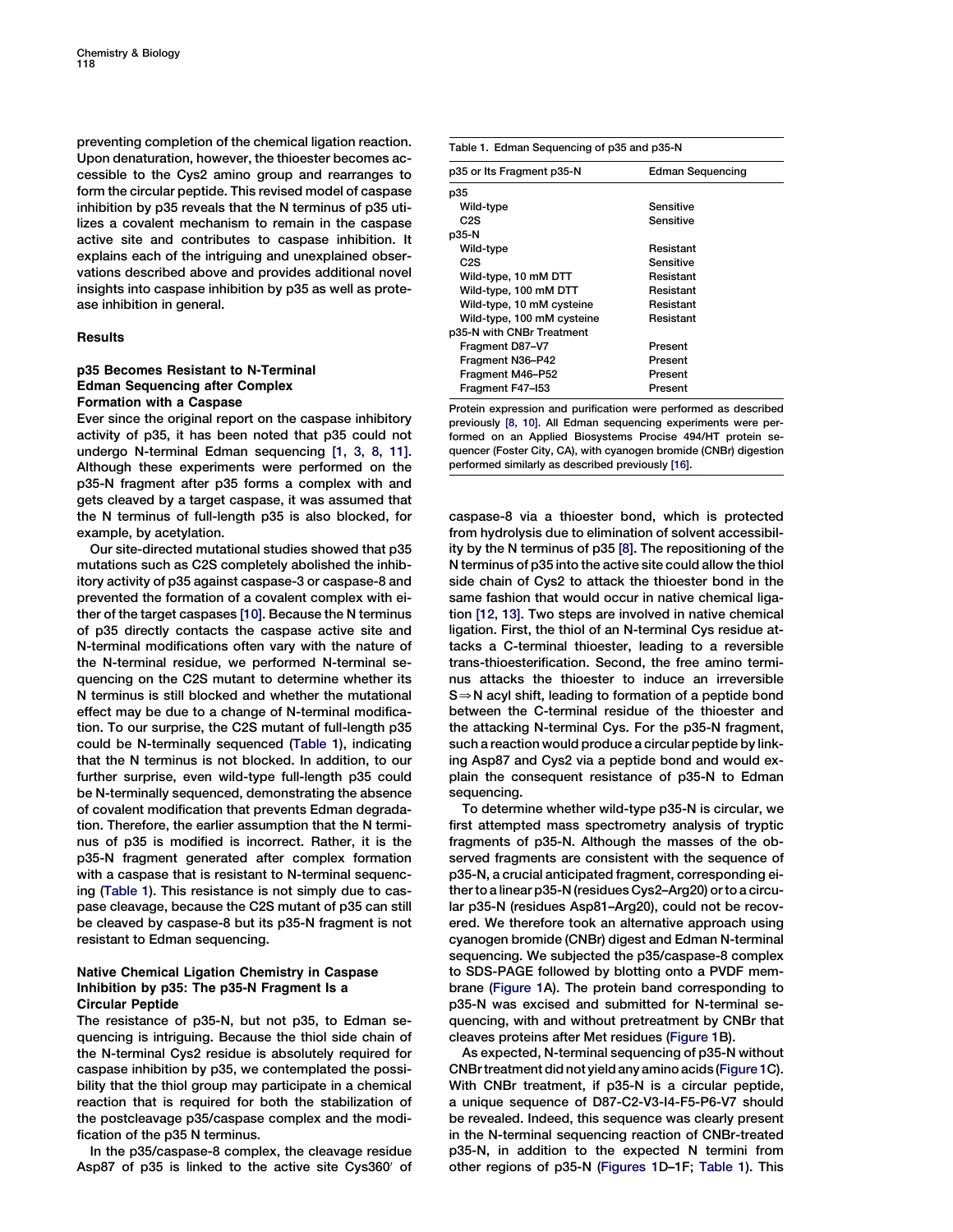<span id="page-1-0"></span>preventing completion of the chemical ligation reaction. Upon denaturation, however, the thioester becomes accessible to the Cys2 amino group and rearranges to form the circular peptide. This revised model of caspase inhibition by p35 reveals that the N terminus of p35 utilizes a covalent mechanism to remain in the caspase active site and contributes to caspase inhibition. It explains each of the intriguing and unexplained observations described above and provides additional novel insights into caspase inhibition by p35 as well as protease inhibition in general.

#### **Results**

### p35 Becomes Resistant to N-Terminal Edman Sequencing after Complex Formation with a Caspase

Ever since the original report on the caspase inhibitory activity of p35, it has been noted that p35 could not undergo N-terminal Edman sequencing [\[1, 3, 8, 11\]](#page-4-0). Although these experiments were performed on the p35-N fragment after p35 forms a complex with and gets cleaved by a target caspase, it was assumed that the N terminus of full-length p35 is also blocked, for example, by acetylation.

Our site-directed mutational studies showed that p35 mutations such as C2S completely abolished the inhibitory activity of p35 against caspase-3 or caspase-8 and prevented the formation of a covalent complex with either of the target caspases [\[10\]](#page-5-0). Because the N terminus of p35 directly contacts the caspase active site and N-terminal modifications often vary with the nature of the N-terminal residue, we performed N-terminal sequencing on the C2S mutant to determine whether its N terminus is still blocked and whether the mutational effect may be due to a change of N-terminal modification. To our surprise, the C2S mutant of full-length p35 could be N-terminally sequenced (Table 1), indicating that the N terminus is not blocked. In addition, to our further surprise, even wild-type full-length p35 could be N-terminally sequenced, demonstrating the absence of covalent modification that prevents Edman degradation. Therefore, the earlier assumption that the N terminus of p35 is modified is incorrect. Rather, it is the p35-N fragment generated after complex formation with a caspase that is resistant to N-terminal sequencing (Table 1). This resistance is not simply due to caspase cleavage, because the C2S mutant of p35 can still be cleaved by caspase-8 but its p35-N fragment is not resistant to Edman sequencing.

#### Native Chemical Ligation Chemistry in Caspase Inhibition by p35: The p35-N Fragment Is a Circular Peptide

The resistance of p35-N, but not p35, to Edman sequencing is intriguing. Because the thiol side chain of the N-terminal Cys2 residue is absolutely required for caspase inhibition by p35, we contemplated the possibility that the thiol group may participate in a chemical reaction that is required for both the stabilization of the postcleavage p35/caspase complex and the modification of the p35 N terminus.

In the p35/caspase-8 complex, the cleavage residue Asp87 of p35 is linked to the active site Cys360' of

| Table 1. Edman Sequencing of p35 and p35-N |                  |
|--------------------------------------------|------------------|
| p35 or Its Fragment p35-N                  | Edman Sequencing |
| p35                                        |                  |
| Wild-type                                  | Sensitive        |
| C <sub>2</sub> S                           | Sensitive        |
| p35-N                                      |                  |
| Wild-type                                  | Resistant        |
| C <sub>2</sub> S                           | Sensitive        |
| Wild-type, 10 mM DTT                       | Resistant        |
| Wild-type, 100 mM DTT                      | Resistant        |
| Wild-type, 10 mM cysteine                  | Resistant        |
| Wild-type, 100 mM cysteine                 | Resistant        |
| p35-N with CNBr Treatment                  |                  |
| Fragment D87-V7                            | Present          |
| Fragment N36-P42                           | Present          |
| Fragment M46-P52                           | Present          |
| Fragment F47-153                           | Present          |

Protein expression and purification were performed as described previously [\[8, 10\].](#page-5-0) All Edman sequencing experiments were performed on an Applied Biosystems Procise 494/HT protein sequencer (Foster City, CA), with cyanogen bromide (CNBr) digestion performed similarly as described previously [\[16\].](#page-5-0)

caspase-8 via a thioester bond, which is protected from hydrolysis due to elimination of solvent accessibility by the N terminus of p35 [\[8\]](#page-5-0). The repositioning of the N terminus of p35 into the active site could allow the thiol side chain of Cys2 to attack the thioester bond in the same fashion that would occur in native chemical ligation [\[12, 13\].](#page-5-0) Two steps are involved in native chemical ligation. First, the thiol of an N-terminal Cys residue attacks a C-terminal thioester, leading to a reversible trans-thioesterification. Second, the free amino terminus attacks the thioester to induce an irreversible  $S\Rightarrow N$  acyl shift, leading to formation of a peptide bond between the C-terminal residue of the thioester and the attacking N-terminal Cys. For the p35-N fragment, such a reaction would produce a circular peptide by linking Asp87 and Cys2 via a peptide bond and would explain the consequent resistance of p35-N to Edman sequencing.

To determine whether wild-type p35-N is circular, we first attempted mass spectrometry analysis of tryptic fragments of p35-N. Although the masses of the observed fragments are consistent with the sequence of p35-N, a crucial anticipated fragment, corresponding either to a linear p35-N (residues Cys2–Arg20) or to a circular p35-N (residues Asp81–Arg20), could not be recovered. We therefore took an alternative approach using cyanogen bromide (CNBr) digest and Edman N-terminal sequencing. We subjected the p35/caspase-8 complex to SDS-PAGE followed by blotting onto a PVDF membrane ([Figure 1](#page-2-0)A). The protein band corresponding to p35-N was excised and submitted for N-terminal sequencing, with and without pretreatment by CNBr that cleaves proteins after Met residues ([Figure 1](#page-2-0)B).

As expected, N-terminal sequencing of p35-N without CNBr treatment did not yield any amino acids [\(Figure 1C](#page-2-0)). With CNBr treatment, if p35-N is a circular peptide, a unique sequence of D87-C2-V3-I4-F5-P6-V7 should be revealed. Indeed, this sequence was clearly present in the N-terminal sequencing reaction of CNBr-treated p35-N, in addition to the expected N termini from other regions of p35-N [\(Figures 1](#page-2-0)D–1F; Table 1). This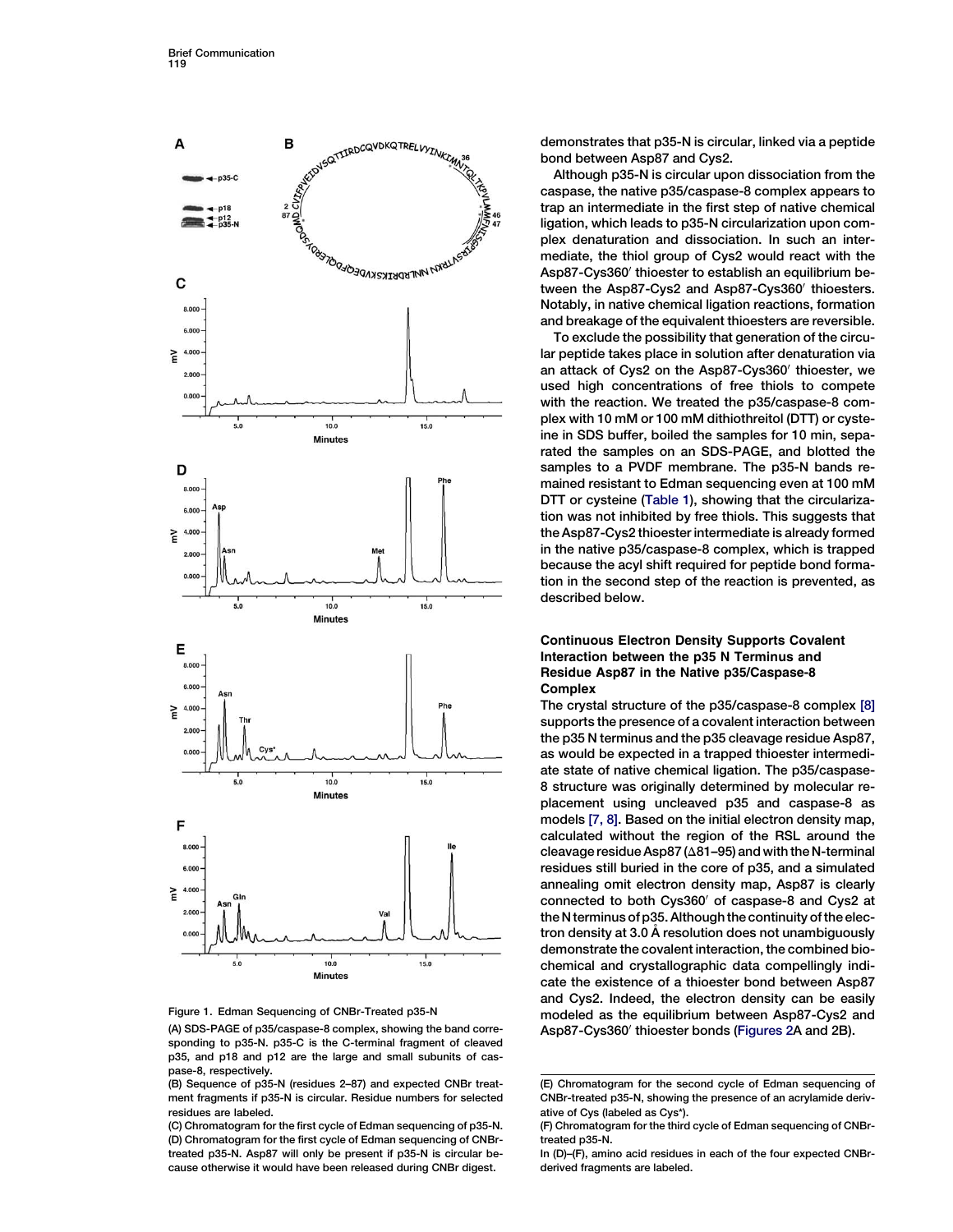<span id="page-2-0"></span>



(A) SDS-PAGE of p35/caspase-8 complex, showing the band corresponding to p35-N. p35-C is the C-terminal fragment of cleaved p35, and p18 and p12 are the large and small subunits of caspase-8, respectively.

(B) Sequence of p35-N (residues 2–87) and expected CNBr treatment fragments if p35-N is circular. Residue numbers for selected residues are labeled.

(C) Chromatogram for the first cycle of Edman sequencing of p35-N. (D) Chromatogram for the first cycle of Edman sequencing of CNBrtreated p35-N. Asp87 will only be present if p35-N is circular because otherwise it would have been released during CNBr digest.

demonstrates that p35-N is circular, linked via a peptide bond between Asp87 and Cys2.

Although p35-N is circular upon dissociation from the caspase, the native p35/caspase-8 complex appears to trap an intermediate in the first step of native chemical ligation, which leads to p35-N circularization upon complex denaturation and dissociation. In such an intermediate, the thiol group of Cys2 would react with the Asp87-Cys360' thioester to establish an equilibrium between the Asp87-Cys2 and Asp87-Cys360' thioesters. Notably, in native chemical ligation reactions, formation and breakage of the equivalent thioesters are reversible.

To exclude the possibility that generation of the circular peptide takes place in solution after denaturation via an attack of Cys2 on the Asp87-Cys360' thioester, we used high concentrations of free thiols to compete with the reaction. We treated the p35/caspase-8 complex with 10 mM or 100 mM dithiothreitol (DTT) or cysteine in SDS buffer, boiled the samples for 10 min, separated the samples on an SDS-PAGE, and blotted the samples to a PVDF membrane. The p35-N bands remained resistant to Edman sequencing even at 100 mM DTT or cysteine [\(Table 1](#page-1-0)), showing that the circularization was not inhibited by free thiols. This suggests that the Asp87-Cys2 thioester intermediate is already formed in the native p35/caspase-8 complex, which is trapped because the acyl shift required for peptide bond formation in the second step of the reaction is prevented, as described below.

### Continuous Electron Density Supports Covalent Interaction between the p35 N Terminus and Residue Asp87 in the Native p35/Caspase-8 Complex

The crystal structure of the p35/caspase-8 complex [\[8\]](#page-5-0) supports the presence of a covalent interaction between the p35 N terminus and the p35 cleavage residue Asp87, as would be expected in a trapped thioester intermediate state of native chemical ligation. The p35/caspase-8 structure was originally determined by molecular replacement using uncleaved p35 and caspase-8 as models [\[7, 8\]](#page-5-0). Based on the initial electron density map, calculated without the region of the RSL around the cleavage residue Asp87 ( $\Delta$ 81–95) and with the N-terminal residues still buried in the core of p35, and a simulated annealing omit electron density map, Asp87 is clearly connected to both Cys360' of caspase-8 and Cys2 at the N terminus of p35. Although the continuity of the electron density at 3.0 Å resolution does not unambiguously demonstrate the covalent interaction, the combined biochemical and crystallographic data compellingly indicate the existence of a thioester bond between Asp87 and Cys2. Indeed, the electron density can be easily modeled as the equilibrium between Asp87-Cys2 and Asp87-Cys360' thioester bonds ([Figures 2A](#page-3-0) and 2B).

<sup>(</sup>E) Chromatogram for the second cycle of Edman sequencing of CNBr-treated p35-N, showing the presence of an acrylamide derivative of Cys (labeled as Cys\*).

<sup>(</sup>F) Chromatogram for the third cycle of Edman sequencing of CNBrtreated p35-N.

In (D)–(F), amino acid residues in each of the four expected CNBrderived fragments are labeled.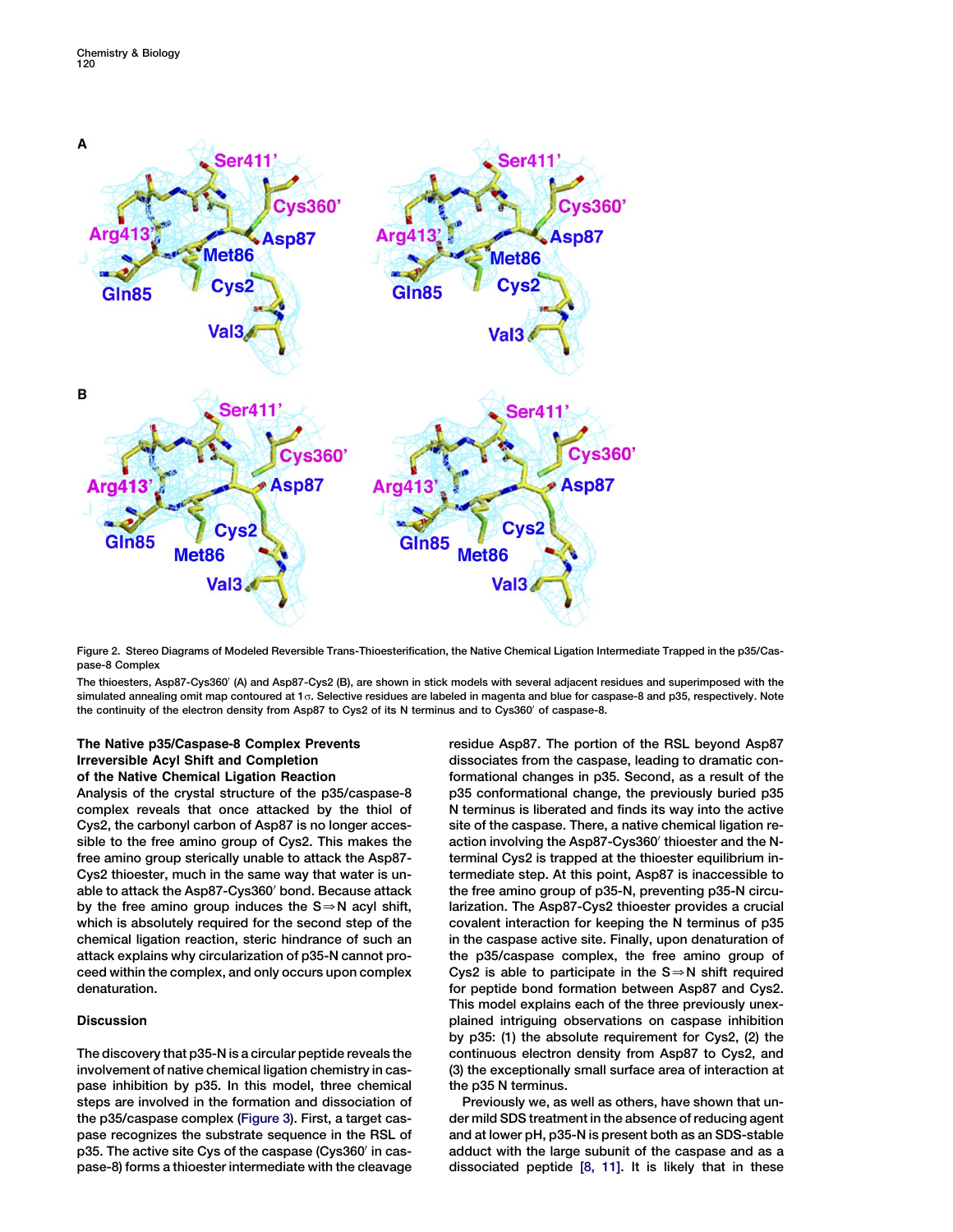<span id="page-3-0"></span>

Figure 2. Stereo Diagrams of Modeled Reversible Trans-Thioesterification, the Native Chemical Ligation Intermediate Trapped in the p35/Caspase-8 Complex

The thioesters, Asp87-Cys360' (A) and Asp87-Cys2 (B), are shown in stick models with several adjacent residues and superimposed with the simulated annealing omit map contoured at 1o. Selective residues are labeled in magenta and blue for caspase-8 and p35, respectively. Note the continuity of the electron density from Asp87 to Cys2 of its N terminus and to Cys360' of caspase-8.

### The Native p35/Caspase-8 Complex Prevents Irreversible Acyl Shift and Completion of the Native Chemical Ligation Reaction

Analysis of the crystal structure of the p35/caspase-8 complex reveals that once attacked by the thiol of Cys2, the carbonyl carbon of Asp87 is no longer accessible to the free amino group of Cys2. This makes the free amino group sterically unable to attack the Asp87- Cys2 thioester, much in the same way that water is unable to attack the Asp87-Cys360' bond. Because attack by the free amino group induces the  $S \Rightarrow N$  acyl shift, which is absolutely required for the second step of the chemical ligation reaction, steric hindrance of such an attack explains why circularization of p35-N cannot proceed within the complex, and only occurs upon complex denaturation.

#### **Discussion**

The discovery that p35-N is a circular peptide reveals the involvement of native chemical ligation chemistry in caspase inhibition by p35. In this model, three chemical steps are involved in the formation and dissociation of the p35/caspase complex ([Figure 3](#page-4-0)). First, a target caspase recognizes the substrate sequence in the RSL of p35. The active site Cys of the caspase (Cys360' in caspase-8) forms a thioester intermediate with the cleavage

residue Asp87. The portion of the RSL beyond Asp87 dissociates from the caspase, leading to dramatic conformational changes in p35. Second, as a result of the p35 conformational change, the previously buried p35 N terminus is liberated and finds its way into the active site of the caspase. There, a native chemical ligation reaction involving the Asp87-Cys360' thioester and the Nterminal Cys2 is trapped at the thioester equilibrium intermediate step. At this point, Asp87 is inaccessible to the free amino group of p35-N, preventing p35-N circularization. The Asp87-Cys2 thioester provides a crucial covalent interaction for keeping the N terminus of p35 in the caspase active site. Finally, upon denaturation of the p35/caspase complex, the free amino group of Cys2 is able to participate in the  $S \Rightarrow N$  shift required for peptide bond formation between Asp87 and Cys2. This model explains each of the three previously unexplained intriguing observations on caspase inhibition by p35: (1) the absolute requirement for Cys2, (2) the continuous electron density from Asp87 to Cys2, and (3) the exceptionally small surface area of interaction at the p35 N terminus.

Previously we, as well as others, have shown that under mild SDS treatment in the absence of reducing agent and at lower pH, p35-N is present both as an SDS-stable adduct with the large subunit of the caspase and as a dissociated peptide [\[8, 11\].](#page-5-0) It is likely that in these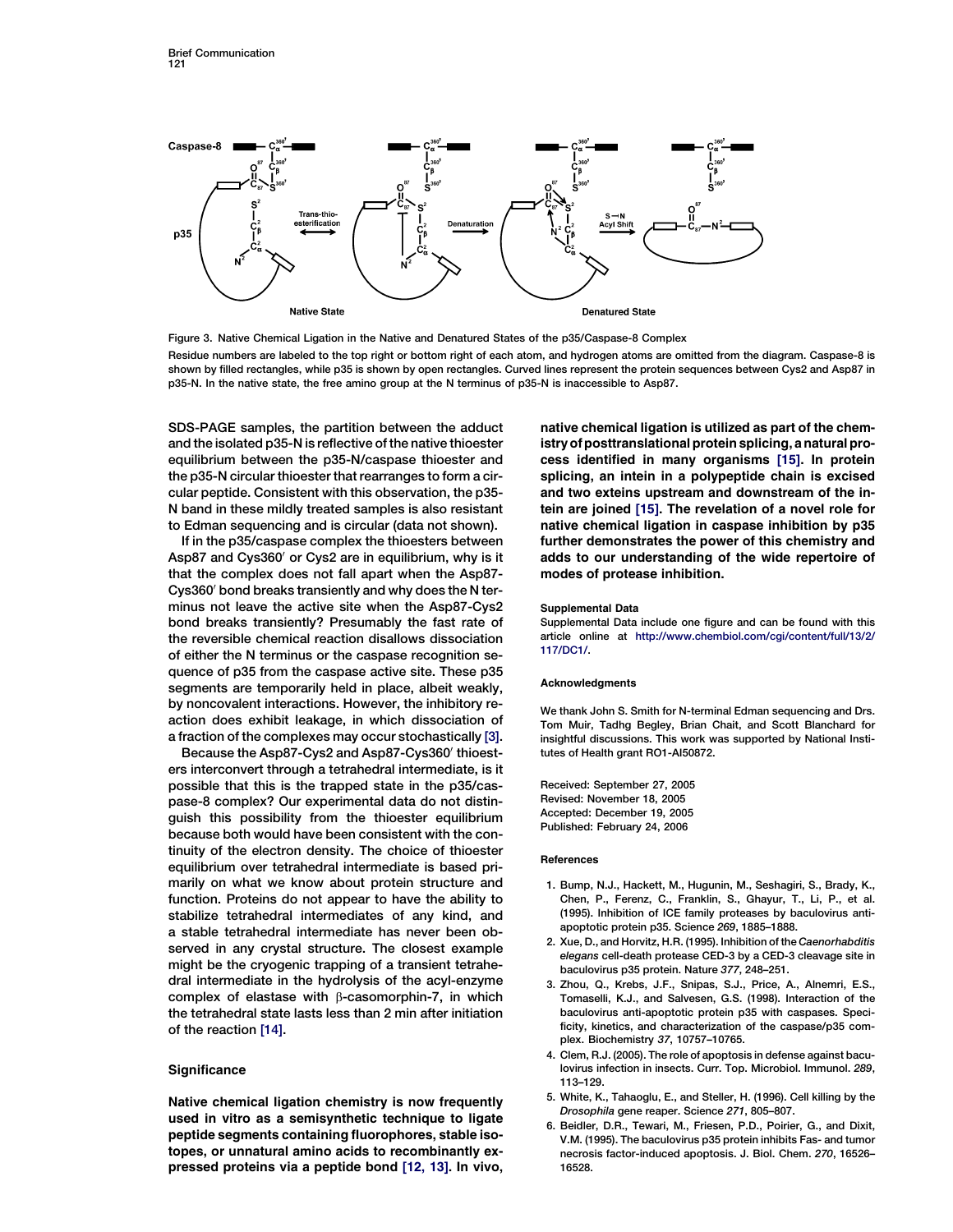<span id="page-4-0"></span>

Figure 3. Native Chemical Ligation in the Native and Denatured States of the p35/Caspase-8 Complex Residue numbers are labeled to the top right or bottom right of each atom, and hydrogen atoms are omitted from the diagram. Caspase-8 is shown by filled rectangles, while p35 is shown by open rectangles. Curved lines represent the protein sequences between Cys2 and Asp87 in p35-N. In the native state, the free amino group at the N terminus of p35-N is inaccessible to Asp87.

SDS-PAGE samples, the partition between the adduct and the isolated p35-N is reflective of the native thioester equilibrium between the p35-N/caspase thioester and the p35-N circular thioester that rearranges to form a circular peptide. Consistent with this observation, the p35- N band in these mildly treated samples is also resistant to Edman sequencing and is circular (data not shown).

If in the p35/caspase complex the thioesters between Asp87 and Cys360' or Cys2 are in equilibrium, why is it that the complex does not fall apart when the Asp87- Cys360' bond breaks transiently and why does the N terminus not leave the active site when the Asp87-Cys2 bond breaks transiently? Presumably the fast rate of the reversible chemical reaction disallows dissociation of either the N terminus or the caspase recognition sequence of p35 from the caspase active site. These p35 segments are temporarily held in place, albeit weakly, by noncovalent interactions. However, the inhibitory reaction does exhibit leakage, in which dissociation of a fraction of the complexes may occur stochastically [3].

Because the Asp87-Cys2 and Asp87-Cys360' thioesters interconvert through a tetrahedral intermediate, is it possible that this is the trapped state in the p35/caspase-8 complex? Our experimental data do not distinguish this possibility from the thioester equilibrium because both would have been consistent with the continuity of the electron density. The choice of thioester equilibrium over tetrahedral intermediate is based primarily on what we know about protein structure and function. Proteins do not appear to have the ability to stabilize tetrahedral intermediates of any kind, and a stable tetrahedral intermediate has never been observed in any crystal structure. The closest example might be the cryogenic trapping of a transient tetrahedral intermediate in the hydrolysis of the acyl-enzyme complex of elastase with  $\beta$ -casomorphin-7, in which the tetrahedral state lasts less than 2 min after initiation of the reaction [\[14\].](#page-5-0)

#### **Significance**

Native chemical ligation chemistry is now frequently used in vitro as a semisynthetic technique to ligate peptide segments containing fluorophores, stable isotopes, or unnatural amino acids to recombinantly expressed proteins via a peptide bond [\[12, 13\]](#page-5-0). In vivo, native chemical ligation is utilized as part of the chemistry of posttranslational protein splicing, a natural process identified in many organisms [\[15\]](#page-5-0). In protein splicing, an intein in a polypeptide chain is excised and two exteins upstream and downstream of the intein are joined [\[15\].](#page-5-0) The revelation of a novel role for native chemical ligation in caspase inhibition by p35 further demonstrates the power of this chemistry and adds to our understanding of the wide repertoire of modes of protease inhibition.

#### Supplemental Data

Supplemental Data include one figure and can be found with this article online at [http://www.chembiol.com/cgi/content/full/13/2/](http://www.chembiol.com/cgi/content/full/13/2/117/DC1/) [117/DC1/.](http://www.chembiol.com/cgi/content/full/13/2/117/DC1/)

#### Acknowledgments

We thank John S. Smith for N-terminal Edman sequencing and Drs. Tom Muir, Tadhg Begley, Brian Chait, and Scott Blanchard for insightful discussions. This work was supported by National Institutes of Health grant RO1-AI50872.

Received: September 27, 2005 Revised: November 18, 2005 Accepted: December 19, 2005 Published: February 24, 2006

#### References

- 1. Bump, N.J., Hackett, M., Hugunin, M., Seshagiri, S., Brady, K., Chen, P., Ferenz, C., Franklin, S., Ghayur, T., Li, P., et al. (1995). Inhibition of ICE family proteases by baculovirus antiapoptotic protein p35. Science 269, 1885–1888.
- 2. Xue, D., and Horvitz, H.R. (1995). Inhibition of the Caenorhabditis elegans cell-death protease CED-3 by a CED-3 cleavage site in baculovirus p35 protein. Nature 377, 248–251.
- 3. Zhou, Q., Krebs, J.F., Snipas, S.J., Price, A., Alnemri, E.S., Tomaselli, K.J., and Salvesen, G.S. (1998). Interaction of the baculovirus anti-apoptotic protein p35 with caspases. Specificity, kinetics, and characterization of the caspase/p35 complex. Biochemistry 37, 10757–10765.
- 4. Clem, R.J. (2005). The role of apoptosis in defense against baculovirus infection in insects. Curr. Top. Microbiol. Immunol. 289, 113–129.
- 5. White, K., Tahaoglu, E., and Steller, H. (1996). Cell killing by the Drosophila gene reaper. Science 271, 805–807.
- 6. Beidler, D.R., Tewari, M., Friesen, P.D., Poirier, G., and Dixit, V.M. (1995). The baculovirus p35 protein inhibits Fas- and tumor necrosis factor-induced apoptosis. J. Biol. Chem. 270, 16526– 16528.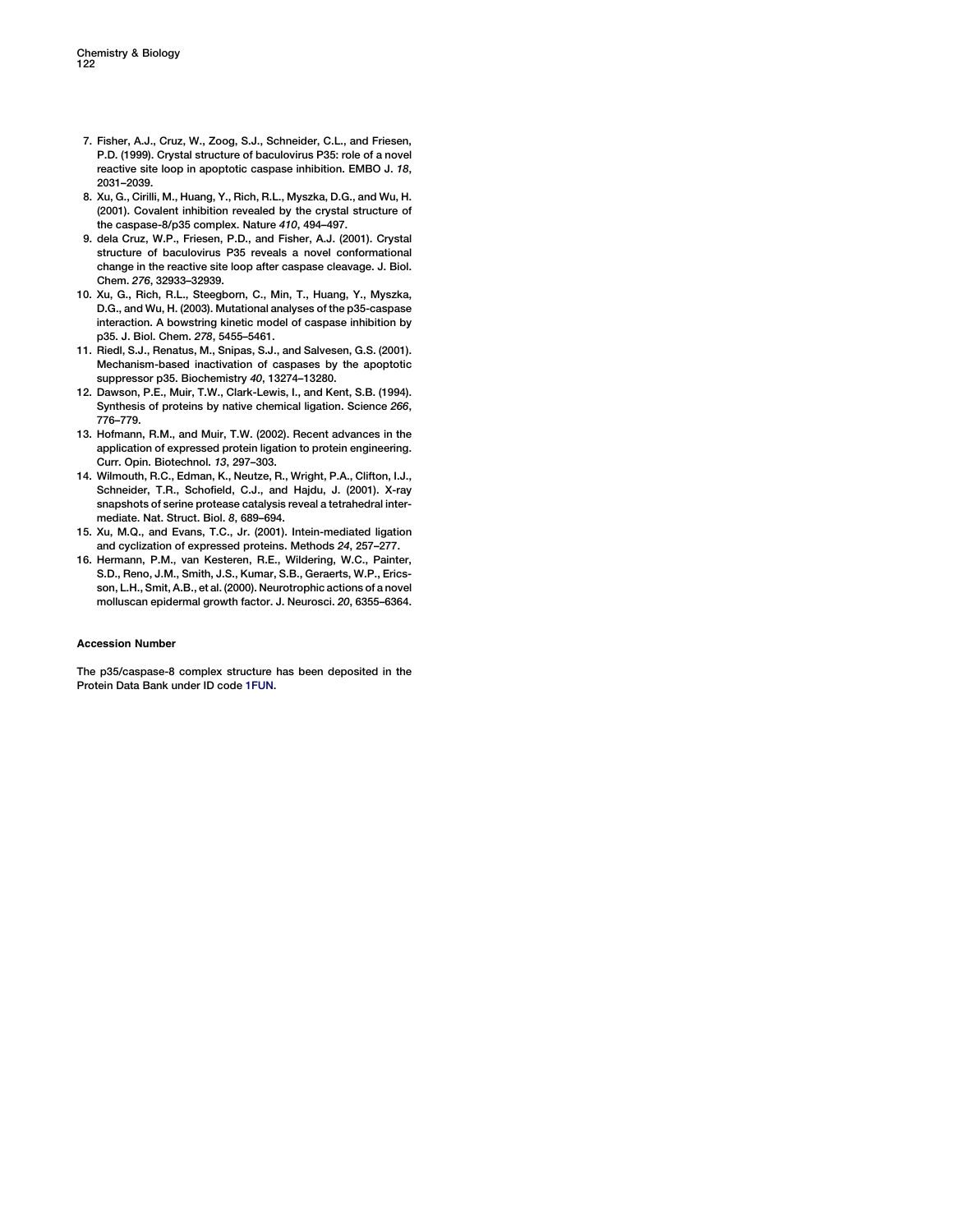- <span id="page-5-0"></span>7. Fisher, A.J., Cruz, W., Zoog, S.J., Schneider, C.L., and Friesen, P.D. (1999). Crystal structure of baculovirus P35: role of a novel reactive site loop in apoptotic caspase inhibition. EMBO J. 18, 2031–2039.
- 8. Xu, G., Cirilli, M., Huang, Y., Rich, R.L., Myszka, D.G., and Wu, H. (2001). Covalent inhibition revealed by the crystal structure of the caspase-8/p35 complex. Nature 410, 494–497.
- 9. dela Cruz, W.P., Friesen, P.D., and Fisher, A.J. (2001). Crystal structure of baculovirus P35 reveals a novel conformational change in the reactive site loop after caspase cleavage. J. Biol. Chem. 276, 32933–32939.
- 10. Xu, G., Rich, R.L., Steegborn, C., Min, T., Huang, Y., Myszka, D.G., and Wu, H. (2003). Mutational analyses of the p35-caspase interaction. A bowstring kinetic model of caspase inhibition by p35. J. Biol. Chem. 278, 5455–5461.
- 11. Riedl, S.J., Renatus, M., Snipas, S.J., and Salvesen, G.S. (2001). Mechanism-based inactivation of caspases by the apoptotic suppressor p35. Biochemistry 40, 13274–13280.
- 12. Dawson, P.E., Muir, T.W., Clark-Lewis, I., and Kent, S.B. (1994). Synthesis of proteins by native chemical ligation. Science 266, 776–779.
- 13. Hofmann, R.M., and Muir, T.W. (2002). Recent advances in the application of expressed protein ligation to protein engineering. Curr. Opin. Biotechnol. 13, 297–303.
- 14. Wilmouth, R.C., Edman, K., Neutze, R., Wright, P.A., Clifton, I.J., Schneider, T.R., Schofield, C.J., and Hajdu, J. (2001). X-ray snapshots of serine protease catalysis reveal a tetrahedral intermediate. Nat. Struct. Biol. 8, 689–694.
- 15. Xu, M.Q., and Evans, T.C., Jr. (2001). Intein-mediated ligation and cyclization of expressed proteins. Methods 24, 257–277.
- 16. Hermann, P.M., van Kesteren, R.E., Wildering, W.C., Painter, S.D., Reno, J.M., Smith, J.S., Kumar, S.B., Geraerts, W.P., Ericsson, L.H., Smit, A.B., et al. (2000). Neurotrophic actions of a novel molluscan epidermal growth factor. J. Neurosci. 20, 6355–6364.

#### Accession Number

The p35/caspase-8 complex structure has been deposited in the Protein Data Bank under ID code [1FUN.](www.ncbi.nlm.nih.gov)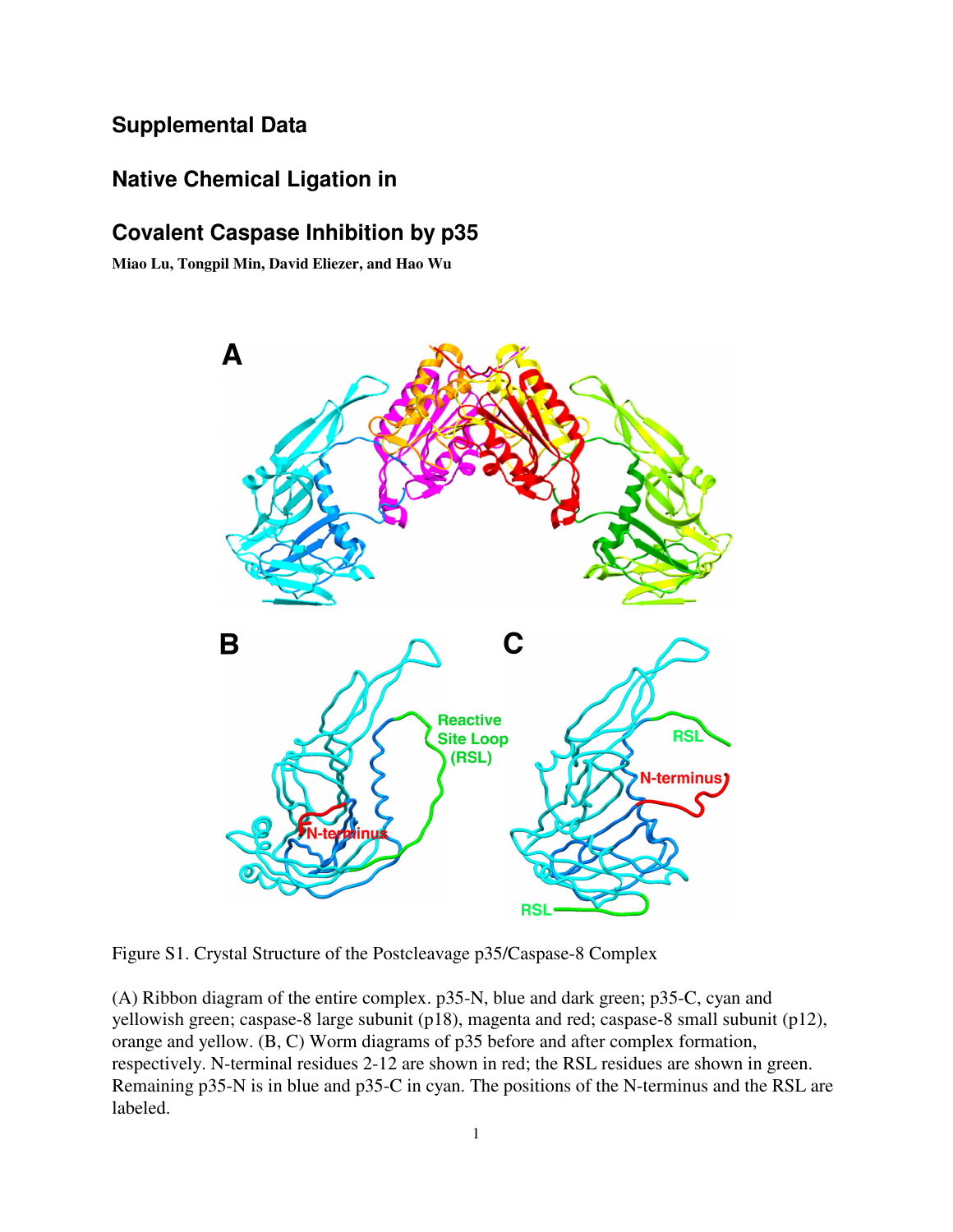### **Supplemental Data**

### **Native Chemical Ligation in**

## **Covalent Caspase Inhibition by p35**

**Miao Lu, Tongpil Min, David Eliezer, and Hao Wu** 



Figure S1. Crystal Structure of the Postcleavage p35/Caspase-8 Complex

(A) Ribbon diagram of the entire complex. p35-N, blue and dark green; p35-C, cyan and yellowish green; caspase-8 large subunit (p18), magenta and red; caspase-8 small subunit (p12), orange and yellow. (B, C) Worm diagrams of p35 before and after complex formation, respectively. N-terminal residues 2-12 are shown in red; the RSL residues are shown in green. Remaining p35-N is in blue and p35-C in cyan. The positions of the N-terminus and the RSL are labeled.